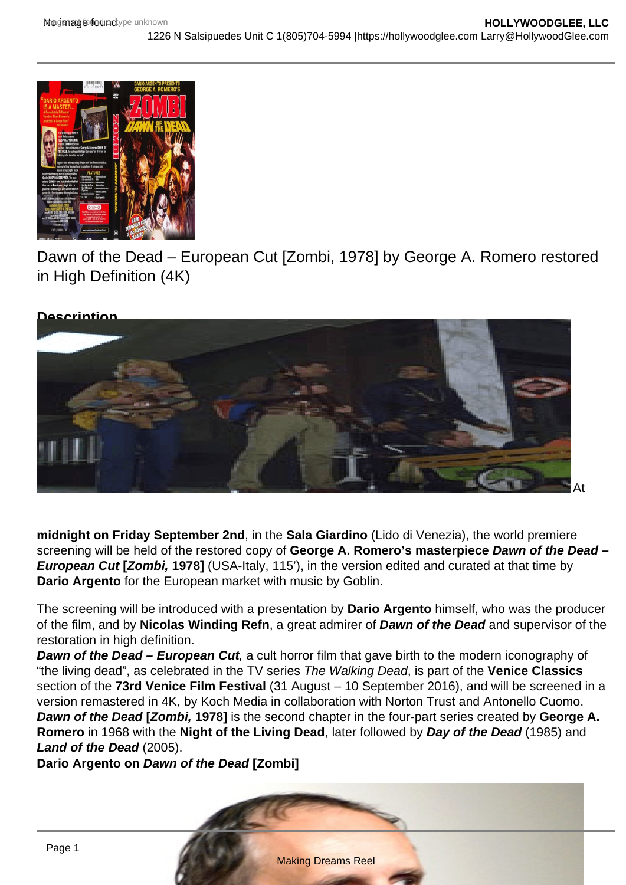

Dawn of the Dead – European Cut [Zombi, 1978] by George A. Romero restored in High Definition (4K)



**midnight on Friday September 2nd**, in the **Sala Giardino** (Lido di Venezia), the world premiere screening will be held of the restored copy of **George A. Romero's masterpiece Dawn of the Dead – European Cut [Zombi, 1978]** (USA-Italy, 115'), in the version edited and curated at that time by **Dario Argento** for the European market with music by Goblin.

The screening will be introduced with a presentation by **Dario Argento** himself, who was the producer of the film, and by **Nicolas Winding Refn**, a great admirer of **Dawn of the Dead** and supervisor of the restoration in high definition.

**Dawn of the Dead – European Cut**, a cult horror film that gave birth to the modern iconography of "the living dead", as celebrated in the TV series The Walking Dead, is part of the **Venice Classics**  section of the **73rd Venice Film Festival** (31 August – 10 September 2016), and will be screened in a version remastered in 4K, by Koch Media in collaboration with Norton Trust and Antonello Cuomo. **Dawn of the Dead [Zombi, 1978]** is the second chapter in the four-part series created by **George A. Romero** in 1968 with the **Night of the Living Dead**, later followed by **Day of the Dead** (1985) and **Land of the Dead** (2005).

**Dario Argento on Dawn of the Dead [Zombi]**

Making Dreams Reel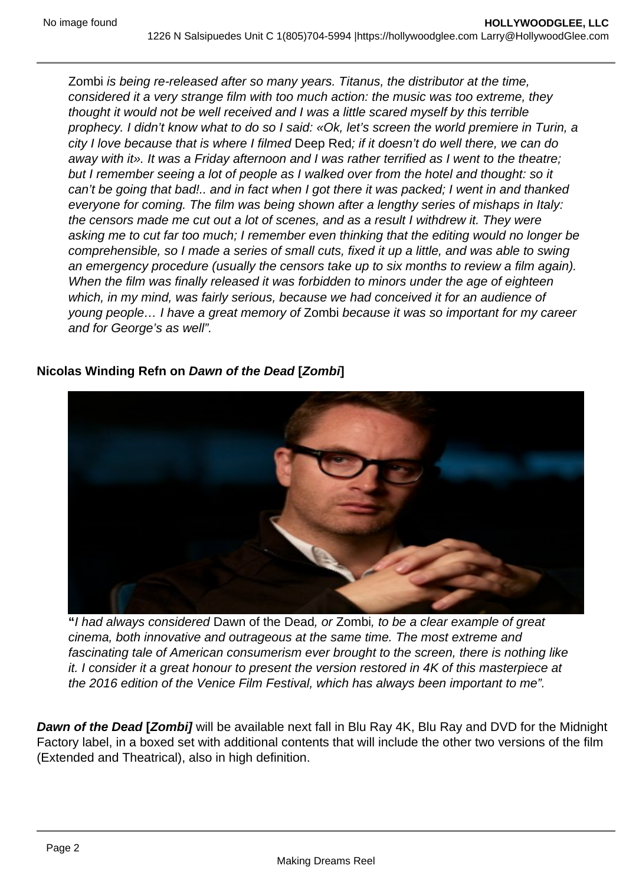Zombi is being re-released after so many years. Titanus, the distributor at the time, considered it a very strange film with too much action: the music was too extreme, they thought it would not be well received and I was a little scared myself by this terrible prophecy. I didn't know what to do so I said: «Ok, let's screen the world premiere in Turin, a city I love because that is where I filmed Deep Red; if it doesn't do well there, we can do away with it». It was a Friday afternoon and I was rather terrified as I went to the theatre; but I remember seeing a lot of people as I walked over from the hotel and thought: so it can't be going that bad!.. and in fact when I got there it was packed; I went in and thanked everyone for coming. The film was being shown after a lengthy series of mishaps in Italy: the censors made me cut out a lot of scenes, and as a result I withdrew it. They were asking me to cut far too much; I remember even thinking that the editing would no longer be comprehensible, so I made a series of small cuts, fixed it up a little, and was able to swing an emergency procedure (usually the censors take up to six months to review a film again). When the film was finally released it was forbidden to minors under the age of eighteen which, in my mind, was fairly serious, because we had conceived it for an audience of young people… I have a great memory of Zombi because it was so important for my career and for George's as well".

## **Nicolas Winding Refn on Dawn of the Dead [Zombi]**



**"**I had always considered Dawn of the Dead, or Zombi, to be a clear example of great cinema, both innovative and outrageous at the same time. The most extreme and fascinating tale of American consumerism ever brought to the screen, there is nothing like it. I consider it a great honour to present the version restored in 4K of this masterpiece at the 2016 edition of the Venice Film Festival, which has always been important to me".

**Dawn of the Dead [Zombi]** will be available next fall in Blu Ray 4K, Blu Ray and DVD for the Midnight Factory label, in a boxed set with additional contents that will include the other two versions of the film (Extended and Theatrical), also in high definition.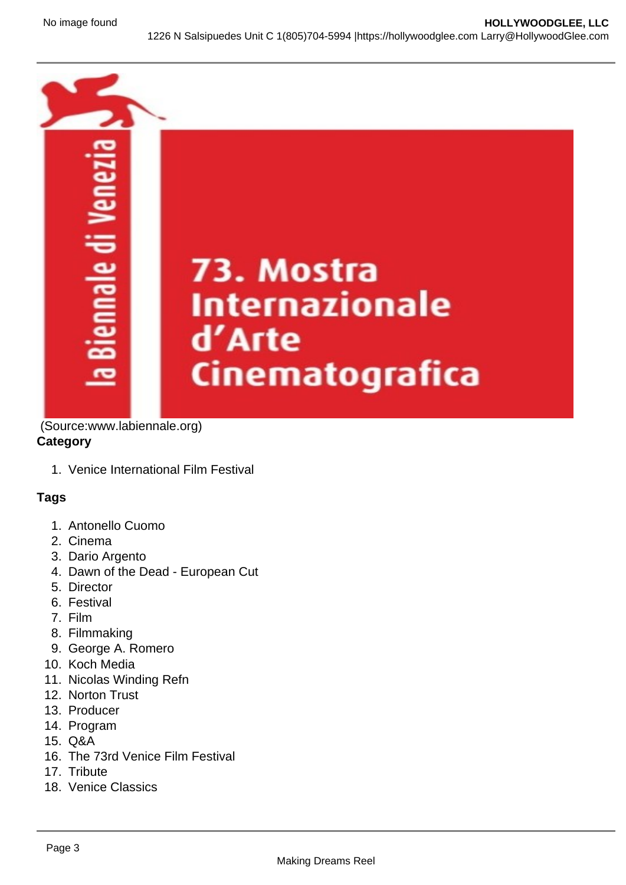

(Source:www.labiennale.org)

## **Category**

1. Venice International Film Festival

## **Tags**

- 1. Antonello Cuomo
- 2. Cinema
- 3. Dario Argento
- 4. Dawn of the Dead European Cut
- 5. Director
- 6. Festival
- 7. Film
- 8. Filmmaking
- 9. George A. Romero
- 10. Koch Media
- 11. Nicolas Winding Refn
- 12. Norton Trust
- 13. Producer
- 14. Program
- 15. Q&A
- 16. The 73rd Venice Film Festival
- 17. Tribute
- 18. Venice Classics